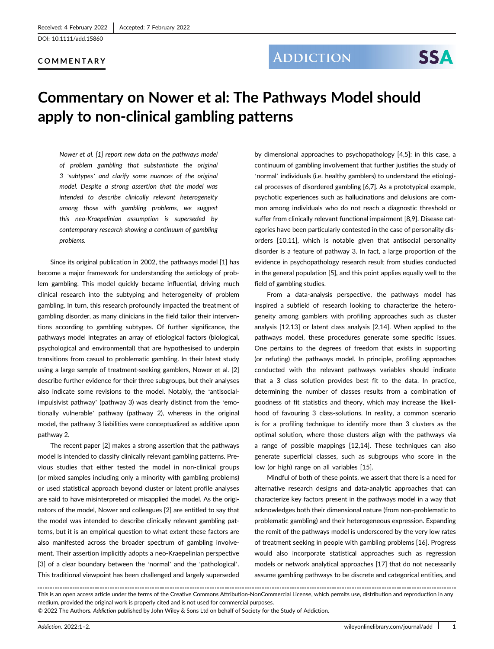[DOI: 10.1111/add.15860](https://doi.org/10.1111/add.15860)

#### COMMENTARY

### **ADDICTION**

# **SSA**

## Commentary on Nower et al: The Pathways Model should apply to non-clinical gambling patterns

Nower et al. [1] report new data on the pathways model of problem gambling that substantiate the original 3 'subtypes' and clarify some nuances of the original model. Despite a strong assertion that the model was intended to describe clinically relevant heterogeneity among those with gambling problems, we suggest this neo-Kraepelinian assumption is superseded by contemporary research showing a continuum of gambling problems.

Since its original publication in 2002, the pathways model [1] has become a major framework for understanding the aetiology of problem gambling. This model quickly became influential, driving much clinical research into the subtyping and heterogeneity of problem gambling. In turn, this research profoundly impacted the treatment of gambling disorder, as many clinicians in the field tailor their interventions according to gambling subtypes. Of further significance, the pathways model integrates an array of etiological factors (biological, psychological and environmental) that are hypothesised to underpin transitions from casual to problematic gambling. In their latest study using a large sample of treatment-seeking gamblers, Nower et al. [2] describe further evidence for their three subgroups, but their analyses also indicate some revisions to the model. Notably, the 'antisocialimpulsivist pathway' (pathway 3) was clearly distinct from the 'emotionally vulnerable' pathway (pathway 2), whereas in the original model, the pathway 3 liabilities were conceptualized as additive upon pathway 2.

The recent paper [2] makes a strong assertion that the pathways model is intended to classify clinically relevant gambling patterns. Previous studies that either tested the model in non-clinical groups (or mixed samples including only a minority with gambling problems) or used statistical approach beyond cluster or latent profile analyses are said to have misinterpreted or misapplied the model. As the originators of the model, Nower and colleagues [2] are entitled to say that the model was intended to describe clinically relevant gambling patterns, but it is an empirical question to what extent these factors are also manifested across the broader spectrum of gambling involvement. Their assertion implicitly adopts a neo-Kraepelinian perspective [3] of a clear boundary between the 'normal' and the 'pathological'. This traditional viewpoint has been challenged and largely superseded

by dimensional approaches to psychopathology [4,5]: in this case, a continuum of gambling involvement that further justifies the study of 'normal' individuals (i.e. healthy gamblers) to understand the etiological processes of disordered gambling [6,7]. As a prototypical example, psychotic experiences such as hallucinations and delusions are common among individuals who do not reach a diagnostic threshold or suffer from clinically relevant functional impairment [8,9]. Disease categories have been particularly contested in the case of personality disorders [10,11], which is notable given that antisocial personality disorder is a feature of pathway 3. In fact, a large proportion of the evidence in psychopathology research result from studies conducted in the general population [5], and this point applies equally well to the field of gambling studies.

From a data-analysis perspective, the pathways model has inspired a subfield of research looking to characterize the heterogeneity among gamblers with profiling approaches such as cluster analysis [12,13] or latent class analysis [2,14]. When applied to the pathways model, these procedures generate some specific issues. One pertains to the degrees of freedom that exists in supporting (or refuting) the pathways model. In principle, profiling approaches conducted with the relevant pathways variables should indicate that a 3 class solution provides best fit to the data. In practice, determining the number of classes results from a combination of goodness of fit statistics and theory, which may increase the likelihood of favouring 3 class-solutions. In reality, a common scenario is for a profiling technique to identify more than 3 clusters as the optimal solution, where those clusters align with the pathways via a range of possible mappings [12,14]. These techniques can also generate superficial classes, such as subgroups who score in the low (or high) range on all variables [15].

Mindful of both of these points, we assert that there is a need for alternative research designs and data-analytic approaches that can characterize key factors present in the pathways model in a way that acknowledges both their dimensional nature (from non-problematic to problematic gambling) and their heterogeneous expression. Expanding the remit of the pathways model is underscored by the very low rates of treatment seeking in people with gambling problems [16]. Progress would also incorporate statistical approaches such as regression models or network analytical approaches [17] that do not necessarily assume gambling pathways to be discrete and categorical entities, and

This is an open access article under the terms of the [Creative Commons Attribution-NonCommercial](http://creativecommons.org/licenses/by-nc/4.0/) License, which permits use, distribution and reproduction in any medium, provided the original work is properly cited and is not used for commercial purposes.

© 2022 The Authors. Addiction published by John Wiley & Sons Ltd on behalf of Society for the Study of Addiction.